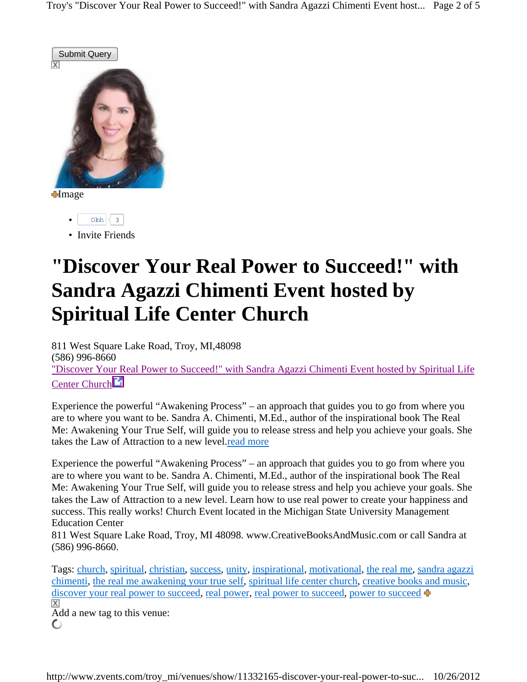

**I**mage

- $\lambda$  ohh  $\leq 3$
- Invite Friends

## **"Discover Your Real Power to Succeed!" with Sandra Agazzi Chimenti Event hosted by Spiritual Life Center Church**

811 West Square Lake Road, Troy, MI,48098 (586) 996-8660 "Discover Your Real Power to Succeed!" with Sandra Agazzi Chimenti Event hosted by Spiritual Life Center Church<sup>2</sup>

Experience the powerful "Awakening Process" – an approach that guides you to go from where you are to where you want to be. Sandra A. Chimenti, M.Ed., author of the inspirational book The Real Me: Awakening Your True Self, will guide you to release stress and help you achieve your goals. She takes the Law of Attraction to a new level.read more

Experience the powerful "Awakening Process" – an approach that guides you to go from where you are to where you want to be. Sandra A. Chimenti, M.Ed., author of the inspirational book The Real Me: Awakening Your True Self, will guide you to release stress and help you achieve your goals. She takes the Law of Attraction to a new level. Learn how to use real power to create your happiness and success. This really works! Church Event located in the Michigan State University Management Education Center

811 West Square Lake Road, Troy, MI 48098. www.CreativeBooksAndMusic.com or call Sandra at (586) 996-8660.

Tags: church, spiritual, christian, success, unity, inspirational, motivational, the real me, sandra agazzi chimenti, the real me awakening your true self, spiritual life center church, creative books and music, discover your real power to succeed, real power, real power to succeed, power to succeed X

Add a new tag to this venue: O